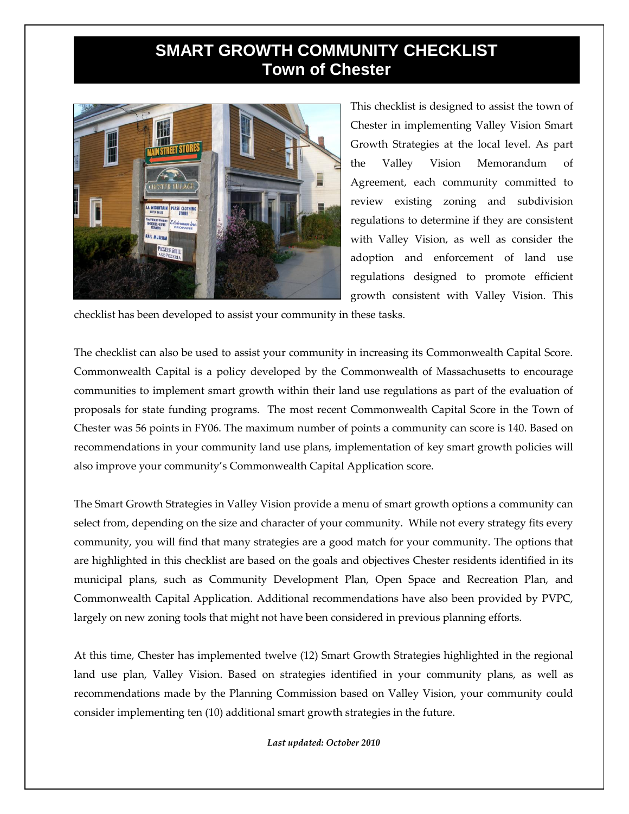## **SMART GROWTH COMMUNITY CHECKLIST Town of Chester**



This checklist is designed to assist the town of Chester in implementing Valley Vision Smart Growth Strategies at the local level. As part the Valley Vision Memorandum of Agreement, each community committed to review existing zoning and subdivision regulations to determine if they are consistent with Valley Vision, as well as consider the adoption and enforcement of land use regulations designed to promote efficient growth consistent with Valley Vision. This

checklist has been developed to assist your community in these tasks.

The checklist can also be used to assist your community in increasing its Commonwealth Capital Score. Commonwealth Capital is a policy developed by the Commonwealth of Massachusetts to encourage communities to implement smart growth within their land use regulations as part of the evaluation of proposals for state funding programs. The most recent Commonwealth Capital Score in the Town of Chester was 56 points in FY06. The maximum number of points a community can score is 140. Based on recommendations in your community land use plans, implementation of key smart growth policies will also improve your community's Commonwealth Capital Application score.

The Smart Growth Strategies in Valley Vision provide a menu of smart growth options a community can select from, depending on the size and character of your community. While not every strategy fits every community, you will find that many strategies are a good match for your community. The options that are highlighted in this checklist are based on the goals and objectives Chester residents identified in its municipal plans, such as Community Development Plan, Open Space and Recreation Plan, and Commonwealth Capital Application. Additional recommendations have also been provided by PVPC, largely on new zoning tools that might not have been considered in previous planning efforts.

At this time, Chester has implemented twelve (12) Smart Growth Strategies highlighted in the regional land use plan, Valley Vision. Based on strategies identified in your community plans, as well as recommendations made by the Planning Commission based on Valley Vision, your community could consider implementing ten (10) additional smart growth strategies in the future.

*Last updated: October 2010*